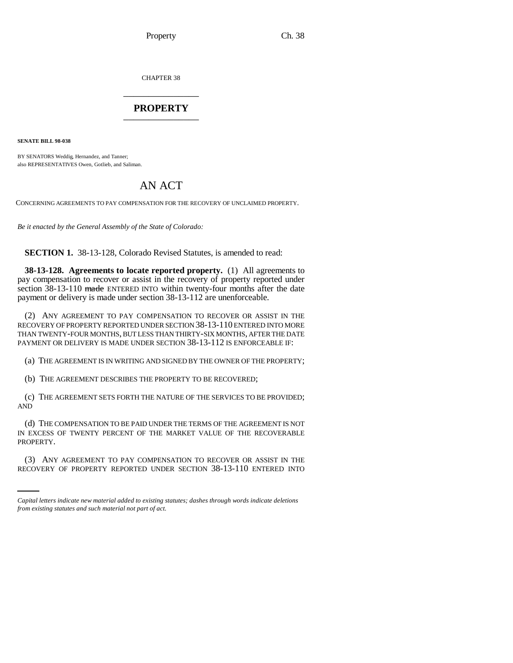CHAPTER 38 \_\_\_\_\_\_\_\_\_\_\_\_\_\_\_

## **PROPERTY** \_\_\_\_\_\_\_\_\_\_\_\_\_\_\_

**SENATE BILL 98-038**

BY SENATORS Weddig, Hernandez, and Tanner; also REPRESENTATIVES Owen, Gotlieb, and Saliman.

## AN ACT

CONCERNING AGREEMENTS TO PAY COMPENSATION FOR THE RECOVERY OF UNCLAIMED PROPERTY.

*Be it enacted by the General Assembly of the State of Colorado:*

**SECTION 1.** 38-13-128, Colorado Revised Statutes, is amended to read:

**38-13-128. Agreements to locate reported property.** (1) All agreements to pay compensation to recover or assist in the recovery of property reported under section 38-13-110 made ENTERED INTO within twenty-four months after the date payment or delivery is made under section 38-13-112 are unenforceable.

(2) ANY AGREEMENT TO PAY COMPENSATION TO RECOVER OR ASSIST IN THE RECOVERY OF PROPERTY REPORTED UNDER SECTION 38-13-110 ENTERED INTO MORE THAN TWENTY-FOUR MONTHS, BUT LESS THAN THIRTY-SIX MONTHS, AFTER THE DATE PAYMENT OR DELIVERY IS MADE UNDER SECTION 38-13-112 IS ENFORCEABLE IF:

(a) THE AGREEMENT IS IN WRITING AND SIGNED BY THE OWNER OF THE PROPERTY;

(b) THE AGREEMENT DESCRIBES THE PROPERTY TO BE RECOVERED;

(c) THE AGREEMENT SETS FORTH THE NATURE OF THE SERVICES TO BE PROVIDED; AND

PROPERTY. (d) THE COMPENSATION TO BE PAID UNDER THE TERMS OF THE AGREEMENT IS NOT IN EXCESS OF TWENTY PERCENT OF THE MARKET VALUE OF THE RECOVERABLE

(3) ANY AGREEMENT TO PAY COMPENSATION TO RECOVER OR ASSIST IN THE RECOVERY OF PROPERTY REPORTED UNDER SECTION 38-13-110 ENTERED INTO

*Capital letters indicate new material added to existing statutes; dashes through words indicate deletions from existing statutes and such material not part of act.*